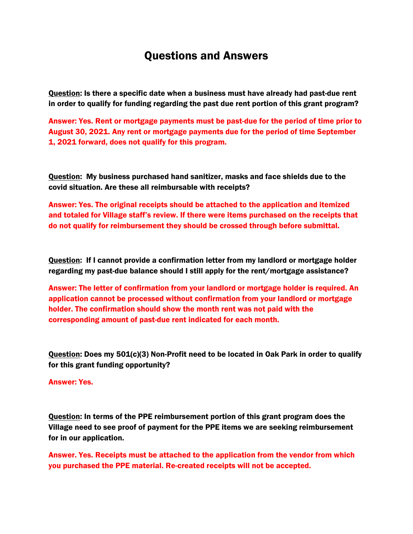## Questions and Answers

Question: Is there a specific date when a business must have already had past-due rent in order to qualify for funding regarding the past due rent portion of this grant program?

Answer: Yes. Rent or mortgage payments must be past-due for the period of time prior to August 30, 2021. Any rent or mortgage payments due for the period of time September 1, 2021 forward, does not qualify for this program.

Question: My business purchased hand sanitizer, masks and face shields due to the covid situation. Are these all reimbursable with receipts?

Answer: Yes. The original receipts should be attached to the application and itemized and totaled for Village staff's review. If there were items purchased on the receipts that do not qualify for reimbursement they should be crossed through before submittal.

Question: If I cannot provide a confirmation letter from my landlord or mortgage holder regarding my past-due balance should I still apply for the rent/mortgage assistance?

Answer: The letter of confirmation from your landlord or mortgage holder is required. An application cannot be processed without confirmation from your landlord or mortgage holder. The confirmation should show the month rent was not paid with the corresponding amount of past-due rent indicated for each month.

Question: Does my 501(c)(3) Non-Profit need to be located in Oak Park in order to qualify for this grant funding opportunity?

## Answer: Yes.

Question: In terms of the PPE reimbursement portion of this grant program does the Village need to see proof of payment for the PPE items we are seeking reimbursement for in our application.

Answer. Yes. Receipts must be attached to the application from the vendor from which you purchased the PPE material. Re-created receipts will not be accepted.